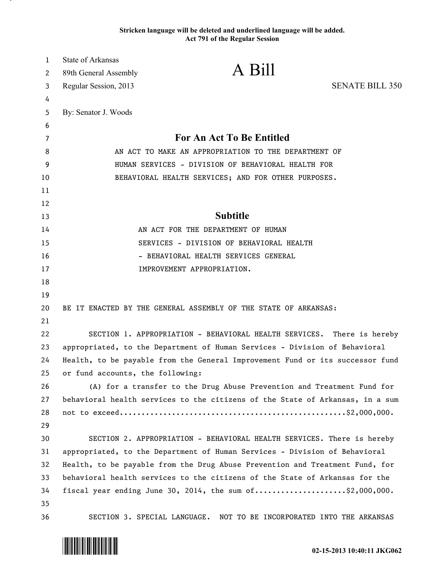## **Stricken language will be deleted and underlined language will be added. Act 791 of the Regular Session**

| $\mathbf{1}$ | <b>State of Arkansas</b>                             |                                                                               |                        |
|--------------|------------------------------------------------------|-------------------------------------------------------------------------------|------------------------|
| 2            | 89th General Assembly                                | A Bill                                                                        |                        |
| 3            | Regular Session, 2013                                |                                                                               | <b>SENATE BILL 350</b> |
| 4            |                                                      |                                                                               |                        |
| 5            | By: Senator J. Woods                                 |                                                                               |                        |
| 6            |                                                      |                                                                               |                        |
| 7            | For An Act To Be Entitled                            |                                                                               |                        |
| 8            | AN ACT TO MAKE AN APPROPRIATION TO THE DEPARTMENT OF |                                                                               |                        |
| 9            | HUMAN SERVICES - DIVISION OF BEHAVIORAL HEALTH FOR   |                                                                               |                        |
| 10           | BEHAVIORAL HEALTH SERVICES; AND FOR OTHER PURPOSES.  |                                                                               |                        |
| 11           |                                                      |                                                                               |                        |
| 12           |                                                      |                                                                               |                        |
| 13           |                                                      | <b>Subtitle</b>                                                               |                        |
| 14           |                                                      | AN ACT FOR THE DEPARTMENT OF HUMAN                                            |                        |
| 15           | SERVICES - DIVISION OF BEHAVIORAL HEALTH             |                                                                               |                        |
| 16           |                                                      | - BEHAVIORAL HEALTH SERVICES GENERAL                                          |                        |
| 17           |                                                      | IMPROVEMENT APPROPRIATION.                                                    |                        |
| 18           |                                                      |                                                                               |                        |
| 19           |                                                      |                                                                               |                        |
| 20           |                                                      | BE IT ENACTED BY THE GENERAL ASSEMBLY OF THE STATE OF ARKANSAS:               |                        |
| 21           |                                                      |                                                                               |                        |
| 22           |                                                      | SECTION 1. APPROPRIATION - BEHAVIORAL HEALTH SERVICES.                        | There is hereby        |
| 23           |                                                      | appropriated, to the Department of Human Services - Division of Behavioral    |                        |
| 24           |                                                      | Health, to be payable from the General Improvement Fund or its successor fund |                        |
| 25           | or fund accounts, the following:                     |                                                                               |                        |
| 26           |                                                      | (A) for a transfer to the Drug Abuse Prevention and Treatment Fund for        |                        |
| 27           |                                                      | behavioral health services to the citizens of the State of Arkansas, in a sum |                        |
| 28           |                                                      |                                                                               |                        |
| 29           |                                                      |                                                                               |                        |
| 30           |                                                      | SECTION 2. APPROPRIATION - BEHAVIORAL HEALTH SERVICES. There is hereby        |                        |
| 31           |                                                      | appropriated, to the Department of Human Services - Division of Behavioral    |                        |
| 32           |                                                      | Health, to be payable from the Drug Abuse Prevention and Treatment Fund, for  |                        |
| 33           |                                                      | behavioral health services to the citizens of the State of Arkansas for the   |                        |
| 34           |                                                      | fiscal year ending June 30, 2014, the sum $of$ \$2,000,000.                   |                        |
| 35           |                                                      |                                                                               |                        |
| 36           | SECTION 3. SPECIAL LANGUAGE.                         | NOT TO BE INCORPORATED INTO THE ARKANSAS                                      |                        |



.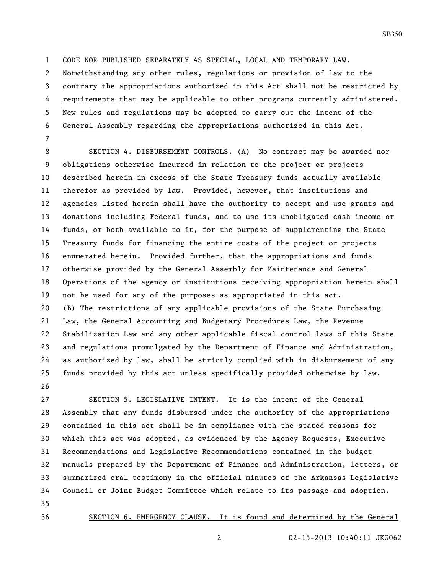CODE NOR PUBLISHED SEPARATELY AS SPECIAL, LOCAL AND TEMPORARY LAW.

Notwithstanding any other rules, regulations or provision of law to the

contrary the appropriations authorized in this Act shall not be restricted by

requirements that may be applicable to other programs currently administered.

New rules and regulations may be adopted to carry out the intent of the

General Assembly regarding the appropriations authorized in this Act.

 SECTION 4. DISBURSEMENT CONTROLS. (A) No contract may be awarded nor obligations otherwise incurred in relation to the project or projects described herein in excess of the State Treasury funds actually available therefor as provided by law. Provided, however, that institutions and agencies listed herein shall have the authority to accept and use grants and donations including Federal funds, and to use its unobligated cash income or funds, or both available to it, for the purpose of supplementing the State Treasury funds for financing the entire costs of the project or projects enumerated herein. Provided further, that the appropriations and funds otherwise provided by the General Assembly for Maintenance and General Operations of the agency or institutions receiving appropriation herein shall not be used for any of the purposes as appropriated in this act. (B) The restrictions of any applicable provisions of the State Purchasing Law, the General Accounting and Budgetary Procedures Law, the Revenue Stabilization Law and any other applicable fiscal control laws of this State and regulations promulgated by the Department of Finance and Administration, as authorized by law, shall be strictly complied with in disbursement of any funds provided by this act unless specifically provided otherwise by law. 

 SECTION 5. LEGISLATIVE INTENT. It is the intent of the General Assembly that any funds disbursed under the authority of the appropriations contained in this act shall be in compliance with the stated reasons for which this act was adopted, as evidenced by the Agency Requests, Executive Recommendations and Legislative Recommendations contained in the budget manuals prepared by the Department of Finance and Administration, letters, or summarized oral testimony in the official minutes of the Arkansas Legislative Council or Joint Budget Committee which relate to its passage and adoption. 

SECTION 6. EMERGENCY CLAUSE. It is found and determined by the General